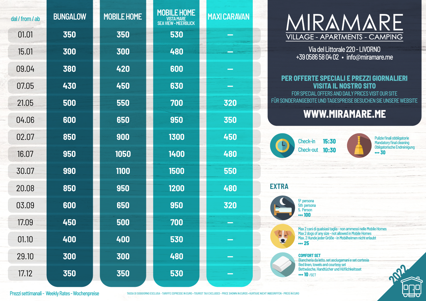| dal / from / ab | <b>BUNGALOW</b> | <b>MOBILE HOME</b> | <b>MOBILE HOME</b><br>VISTA MARE<br>SEA VIEW - MEERBLICK | <b>MAXI CARAVAN</b> |                          |
|-----------------|-----------------|--------------------|----------------------------------------------------------|---------------------|--------------------------|
| 01.01           | 350             | 350                | 530                                                      |                     | $\overline{\mathcal{L}}$ |
| 15.01           | 300             | 300                | 480                                                      |                     |                          |
| 09.04           | 380             | 420                | 600                                                      |                     |                          |
| 07.05           | 430             | 450                | 630                                                      | - -                 | <b>PE</b>                |
| 21.05           | 500             | 550                | 700                                                      | 320                 | <b>FÜR SON</b>           |
| 04.06           | 600             | 650                | 950                                                      | 350                 |                          |
| 02.07           | 850             | 900                | 1300                                                     | 450                 | B                        |
| 16.07           | 950             | 1050               | 1400                                                     | 480                 |                          |
| 30.07           | 990             | 1100               | 1500                                                     | 550                 |                          |
| 20.08           | 850             | 950                | 1200                                                     | 480                 | <b>EXTRA</b>             |
| 03.09           | 600             | 650                | 950                                                      | 320                 |                          |
| 17.09           | 450             | 500                | 700                                                      |                     |                          |
| 01.10           | 400             | 400                | 530                                                      |                     | $\frac{1}{2}$            |
| 29.10           | 300             | 300                | 480                                                      |                     |                          |
| 17.12           | 350             | 350                | 530                                                      |                     |                          |
|                 |                 |                    |                                                          |                     |                          |



Via del Littorale 220 - LIVORNO +39 0586 58 04 02 · info@miramare.me

# PER OFFERTE SPECIALI E PREZZI GIORNALIERI **VISITA IL NOSTRO SITO**

FOR SPECIAL OFFERS AND DAILY PRICES VISIT OUR SITE ONDERANGEBOTE UND TAGESPREISE BESUCHEN SIE UNSERE WEBSITE

# **WWW.MIRAMARE.ME**



 $...30$ 

Pulizie finali obbligatorie Mandatory final cleaning Obligatorische Endreinigung

5ª persona 5th persona 5. Person ... 100

> Max 2 cani di qualsiasi taglia - non ammessi nelle Mobile Homes Max 2 dogs of any size - not allowed in Mobile Homes Max. 2 Hunde jeder Größe – in Mobilheimen nicht erlaubt  $... 25$

**COMFORT SET** Biancheria da letto, set asciugamani e set cortesia Bed linen, towels and courtesy set Bettwäsche, Handtücher und Höflichkeitsset **... 10 /SFT** 



Prezzi settimanali - Weekly Rates - Wochenpreise